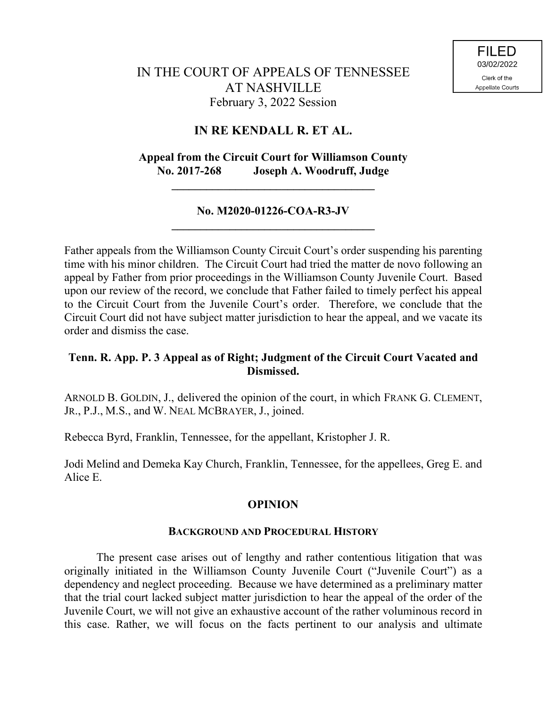# **IN RE KENDALL R. ET AL.**

# **Appeal from the Circuit Court for Williamson County No. 2017-268 Joseph A. Woodruff, Judge**

### **No. M2020-01226-COA-R3-JV \_\_\_\_\_\_\_\_\_\_\_\_\_\_\_\_\_\_\_\_\_\_\_\_\_\_\_\_\_\_\_\_\_\_\_**

**\_\_\_\_\_\_\_\_\_\_\_\_\_\_\_\_\_\_\_\_\_\_\_\_\_\_\_\_\_\_\_\_\_\_\_**

Father appeals from the Williamson County Circuit Court's order suspending his parenting time with his minor children. The Circuit Court had tried the matter de novo following an appeal by Father from prior proceedings in the Williamson County Juvenile Court. Based upon our review of the record, we conclude that Father failed to timely perfect his appeal to the Circuit Court from the Juvenile Court's order. Therefore, we conclude that the Circuit Court did not have subject matter jurisdiction to hear the appeal, and we vacate its order and dismiss the case.

## **Tenn. R. App. P. 3 Appeal as of Right; Judgment of the Circuit Court Vacated and Dismissed.**

ARNOLD B. GOLDIN, J., delivered the opinion of the court, in which FRANK G. CLEMENT, JR., P.J., M.S., and W. NEAL MCBRAYER, J., joined.

Rebecca Byrd, Franklin, Tennessee, for the appellant, Kristopher J. R.

Jodi Melind and Demeka Kay Church, Franklin, Tennessee, for the appellees, Greg E. and Alice E.

# **OPINION**

### **BACKGROUND AND PROCEDURAL HISTORY**

The present case arises out of lengthy and rather contentious litigation that was originally initiated in the Williamson County Juvenile Court ("Juvenile Court") as a dependency and neglect proceeding. Because we have determined as a preliminary matter that the trial court lacked subject matter jurisdiction to hear the appeal of the order of the Juvenile Court, we will not give an exhaustive account of the rather voluminous record in this case. Rather, we will focus on the facts pertinent to our analysis and ultimate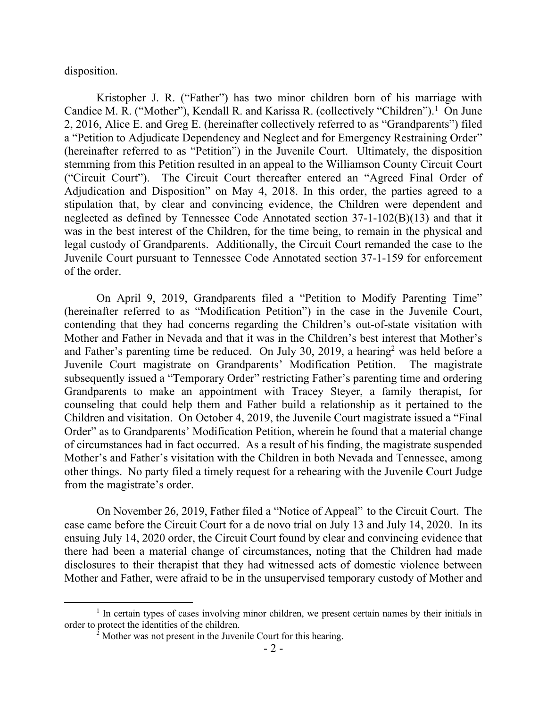disposition.

Kristopher J. R. ("Father") has two minor children born of his marriage with Candice M. R. ("Mother"), Kendall R. and Karissa R. (collectively "Children").<sup>1</sup> On June 2, 2016, Alice E. and Greg E. (hereinafter collectively referred to as "Grandparents") filed a "Petition to Adjudicate Dependency and Neglect and for Emergency Restraining Order" (hereinafter referred to as "Petition") in the Juvenile Court. Ultimately, the disposition stemming from this Petition resulted in an appeal to the Williamson County Circuit Court ("Circuit Court"). The Circuit Court thereafter entered an "Agreed Final Order of Adjudication and Disposition" on May 4, 2018. In this order, the parties agreed to a stipulation that, by clear and convincing evidence, the Children were dependent and neglected as defined by Tennessee Code Annotated section 37-1-102(B)(13) and that it was in the best interest of the Children, for the time being, to remain in the physical and legal custody of Grandparents. Additionally, the Circuit Court remanded the case to the Juvenile Court pursuant to Tennessee Code Annotated section 37-1-159 for enforcement of the order.

On April 9, 2019, Grandparents filed a "Petition to Modify Parenting Time" (hereinafter referred to as "Modification Petition") in the case in the Juvenile Court, contending that they had concerns regarding the Children's out-of-state visitation with Mother and Father in Nevada and that it was in the Children's best interest that Mother's and Father's parenting time be reduced. On July 30, 2019, a hearing<sup>2</sup> was held before a Juvenile Court magistrate on Grandparents' Modification Petition. The magistrate subsequently issued a "Temporary Order" restricting Father's parenting time and ordering Grandparents to make an appointment with Tracey Steyer, a family therapist, for counseling that could help them and Father build a relationship as it pertained to the Children and visitation. On October 4, 2019, the Juvenile Court magistrate issued a "Final Order" as to Grandparents' Modification Petition, wherein he found that a material change of circumstances had in fact occurred. As a result of his finding, the magistrate suspended Mother's and Father's visitation with the Children in both Nevada and Tennessee, among other things. No party filed a timely request for a rehearing with the Juvenile Court Judge from the magistrate's order.

On November 26, 2019, Father filed a "Notice of Appeal" to the Circuit Court. The case came before the Circuit Court for a de novo trial on July 13 and July 14, 2020. In its ensuing July 14, 2020 order, the Circuit Court found by clear and convincing evidence that there had been a material change of circumstances, noting that the Children had made disclosures to their therapist that they had witnessed acts of domestic violence between Mother and Father, were afraid to be in the unsupervised temporary custody of Mother and

<sup>&</sup>lt;sup>1</sup> In certain types of cases involving minor children, we present certain names by their initials in order to protect the identities of the children.

 $\frac{1}{2}$  Mother was not present in the Juvenile Court for this hearing.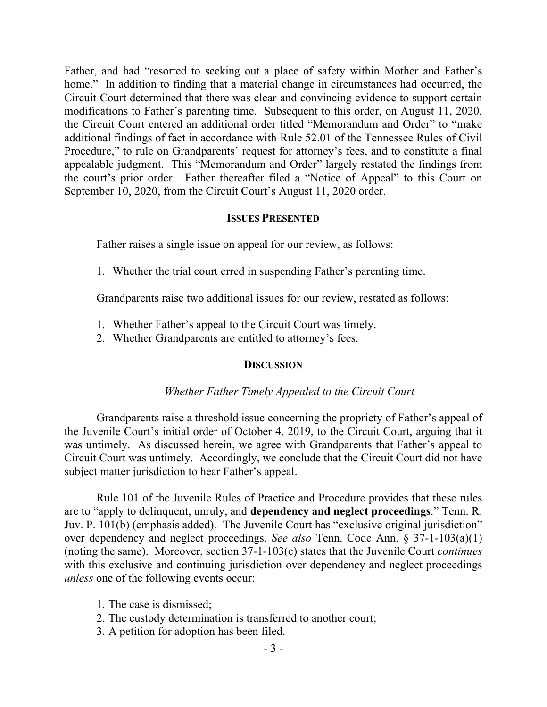Father, and had "resorted to seeking out a place of safety within Mother and Father's home." In addition to finding that a material change in circumstances had occurred, the Circuit Court determined that there was clear and convincing evidence to support certain modifications to Father's parenting time. Subsequent to this order, on August 11, 2020, the Circuit Court entered an additional order titled "Memorandum and Order" to "make additional findings of fact in accordance with Rule 52.01 of the Tennessee Rules of Civil Procedure," to rule on Grandparents' request for attorney's fees, and to constitute a final appealable judgment. This "Memorandum and Order" largely restated the findings from the court's prior order. Father thereafter filed a "Notice of Appeal" to this Court on September 10, 2020, from the Circuit Court's August 11, 2020 order.

### **ISSUES PRESENTED**

Father raises a single issue on appeal for our review, as follows:

1. Whether the trial court erred in suspending Father's parenting time.

Grandparents raise two additional issues for our review, restated as follows:

- 1. Whether Father's appeal to the Circuit Court was timely.
- 2. Whether Grandparents are entitled to attorney's fees.

#### **DISCUSSION**

#### *Whether Father Timely Appealed to the Circuit Court*

Grandparents raise a threshold issue concerning the propriety of Father's appeal of the Juvenile Court's initial order of October 4, 2019, to the Circuit Court, arguing that it was untimely. As discussed herein, we agree with Grandparents that Father's appeal to Circuit Court was untimely. Accordingly, we conclude that the Circuit Court did not have subject matter jurisdiction to hear Father's appeal.

Rule 101 of the Juvenile Rules of Practice and Procedure provides that these rules are to "apply to delinquent, unruly, and **dependency and neglect proceedings**." Tenn. R. Juv. P. 101(b) (emphasis added). The Juvenile Court has "exclusive original jurisdiction" over dependency and neglect proceedings. *See also* Tenn. Code Ann. § 37-1-103(a)(1) (noting the same). Moreover, section 37-1-103(c) states that the Juvenile Court *continues*  with this exclusive and continuing jurisdiction over dependency and neglect proceedings *unless* one of the following events occur:

- 1. The case is dismissed;
- 2. The custody determination is transferred to another court;
- 3. A petition for adoption has been filed.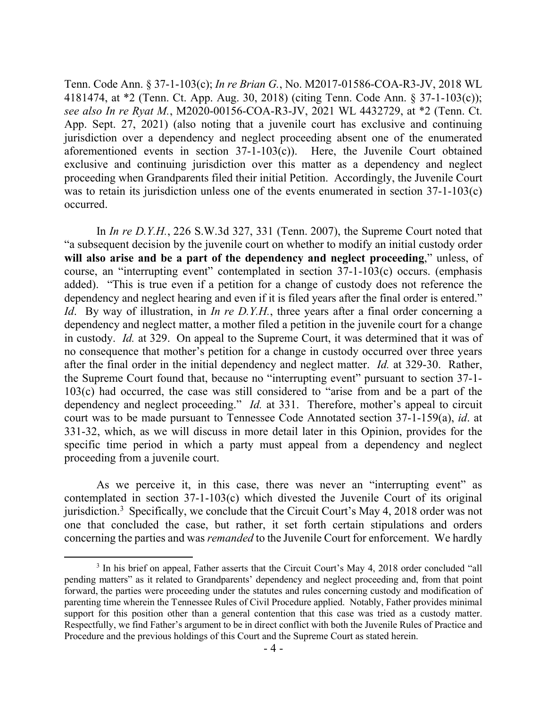Tenn. Code Ann. § 37-1-103(c); *In re Brian G.*, No. M2017-01586-COA-R3-JV, 2018 WL 4181474, at \*2 (Tenn. Ct. App. Aug. 30, 2018) (citing Tenn. Code Ann. § 37-1-103(c)); *see also In re Ryat M.*, M2020-00156-COA-R3-JV, 2021 WL 4432729, at \*2 (Tenn. Ct. App. Sept. 27, 2021) (also noting that a juvenile court has exclusive and continuing jurisdiction over a dependency and neglect proceeding absent one of the enumerated aforementioned events in section 37-1-103(c)). Here, the Juvenile Court obtained exclusive and continuing jurisdiction over this matter as a dependency and neglect proceeding when Grandparents filed their initial Petition. Accordingly, the Juvenile Court was to retain its jurisdiction unless one of the events enumerated in section 37-1-103(c) occurred.

In *In re D.Y.H.*, 226 S.W.3d 327, 331 (Tenn. 2007), the Supreme Court noted that "a subsequent decision by the juvenile court on whether to modify an initial custody order **will also arise and be a part of the dependency and neglect proceeding**," unless, of course, an "interrupting event" contemplated in section 37-1-103(c) occurs. (emphasis added). "This is true even if a petition for a change of custody does not reference the dependency and neglect hearing and even if it is filed years after the final order is entered." *Id.* By way of illustration, in *In re D.Y.H.*, three years after a final order concerning a dependency and neglect matter, a mother filed a petition in the juvenile court for a change in custody. *Id.* at 329. On appeal to the Supreme Court, it was determined that it was of no consequence that mother's petition for a change in custody occurred over three years after the final order in the initial dependency and neglect matter. *Id.* at 329-30. Rather, the Supreme Court found that, because no "interrupting event" pursuant to section 37-1- 103(c) had occurred, the case was still considered to "arise from and be a part of the dependency and neglect proceeding." *Id.* at 331. Therefore, mother's appeal to circuit court was to be made pursuant to Tennessee Code Annotated section 37-1-159(a), *id*. at 331-32, which, as we will discuss in more detail later in this Opinion, provides for the specific time period in which a party must appeal from a dependency and neglect proceeding from a juvenile court.

As we perceive it, in this case, there was never an "interrupting event" as contemplated in section 37-1-103(c) which divested the Juvenile Court of its original jurisdiction.<sup>3</sup> Specifically, we conclude that the Circuit Court's May 4, 2018 order was not one that concluded the case, but rather, it set forth certain stipulations and orders concerning the parties and was *remanded* to the Juvenile Court for enforcement. We hardly

<sup>&</sup>lt;sup>3</sup> In his brief on appeal, Father asserts that the Circuit Court's May 4, 2018 order concluded "all pending matters" as it related to Grandparents' dependency and neglect proceeding and, from that point forward, the parties were proceeding under the statutes and rules concerning custody and modification of parenting time wherein the Tennessee Rules of Civil Procedure applied. Notably, Father provides minimal support for this position other than a general contention that this case was tried as a custody matter. Respectfully, we find Father's argument to be in direct conflict with both the Juvenile Rules of Practice and Procedure and the previous holdings of this Court and the Supreme Court as stated herein.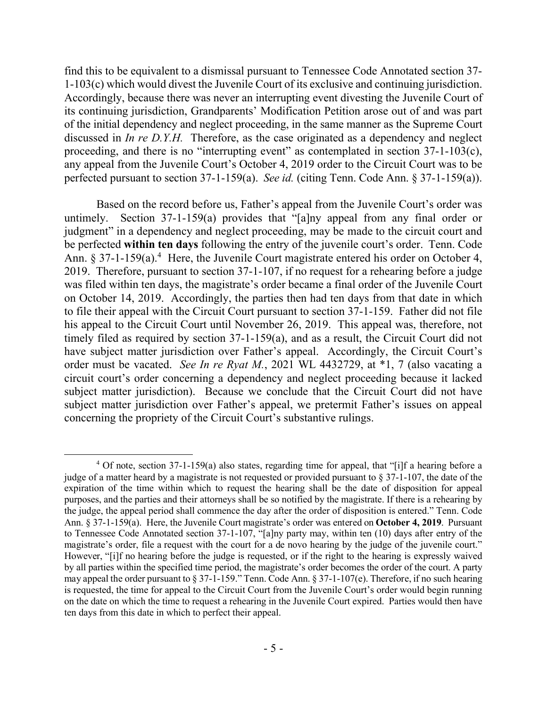find this to be equivalent to a dismissal pursuant to Tennessee Code Annotated section 37- 1-103(c) which would divest the Juvenile Court of its exclusive and continuing jurisdiction. Accordingly, because there was never an interrupting event divesting the Juvenile Court of its continuing jurisdiction, Grandparents' Modification Petition arose out of and was part of the initial dependency and neglect proceeding, in the same manner as the Supreme Court discussed in *In re D.Y.H.* Therefore, as the case originated as a dependency and neglect proceeding, and there is no "interrupting event" as contemplated in section 37-1-103(c), any appeal from the Juvenile Court's October 4, 2019 order to the Circuit Court was to be perfected pursuant to section 37-1-159(a). *See id.* (citing Tenn. Code Ann. § 37-1-159(a)).

Based on the record before us, Father's appeal from the Juvenile Court's order was untimely. Section 37-1-159(a) provides that "[a]ny appeal from any final order or judgment" in a dependency and neglect proceeding, may be made to the circuit court and be perfected **within ten days** following the entry of the juvenile court's order. Tenn. Code Ann. § 37-1-159(a).<sup>4</sup> Here, the Juvenile Court magistrate entered his order on October 4, 2019. Therefore, pursuant to section 37-1-107, if no request for a rehearing before a judge was filed within ten days, the magistrate's order became a final order of the Juvenile Court on October 14, 2019. Accordingly, the parties then had ten days from that date in which to file their appeal with the Circuit Court pursuant to section 37-1-159. Father did not file his appeal to the Circuit Court until November 26, 2019. This appeal was, therefore, not timely filed as required by section 37-1-159(a), and as a result, the Circuit Court did not have subject matter jurisdiction over Father's appeal. Accordingly, the Circuit Court's order must be vacated. *See In re Ryat M.*, 2021 WL 4432729, at \*1, 7 (also vacating a circuit court's order concerning a dependency and neglect proceeding because it lacked subject matter jurisdiction). Because we conclude that the Circuit Court did not have subject matter jurisdiction over Father's appeal, we pretermit Father's issues on appeal concerning the propriety of the Circuit Court's substantive rulings.

 $\overline{a}$ 

 $4$  Of note, section 37-1-159(a) also states, regarding time for appeal, that "[i]f a hearing before a judge of a matter heard by a magistrate is not requested or provided pursuant to § 37-1-107, the date of the expiration of the time within which to request the hearing shall be the date of disposition for appeal purposes, and the parties and their attorneys shall be so notified by the magistrate. If there is a rehearing by the judge, the appeal period shall commence the day after the order of disposition is entered." Tenn. Code Ann. § 37-1-159(a). Here, the Juvenile Court magistrate's order was entered on **October 4, 2019**. Pursuant to Tennessee Code Annotated section 37-1-107, "[a]ny party may, within ten (10) days after entry of the magistrate's order, file a request with the court for a de novo hearing by the judge of the juvenile court." However, "[i]f no hearing before the judge is requested, or if the right to the hearing is expressly waived by all parties within the specified time period, the magistrate's order becomes the order of the court. A party may appeal the order pursuant to § 37-1-159." Tenn. Code Ann. § 37-1-107(e). Therefore, if no such hearing is requested, the time for appeal to the Circuit Court from the Juvenile Court's order would begin running on the date on which the time to request a rehearing in the Juvenile Court expired. Parties would then have ten days from this date in which to perfect their appeal.